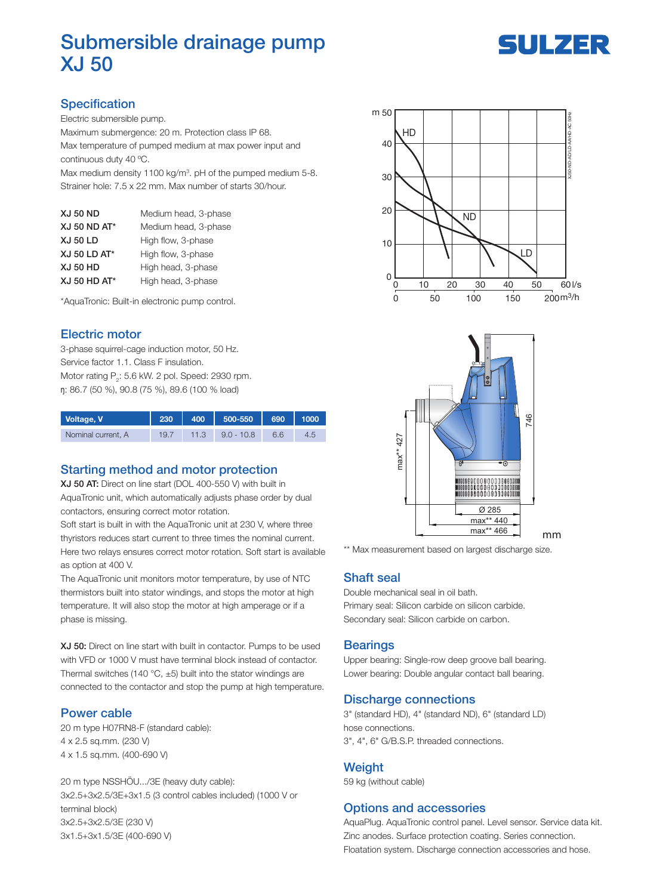# Submersible drainage pump XJ 50

# SULZER

## **Specification**

Electric submersible pump.

Maximum submergence: 20 m. Protection class IP 68. Max temperature of pumped medium at max power input and continuous duty 40 ºC.

Max medium density 1100 kg/m<sup>3</sup>. pH of the pumped medium 5-8. Strainer hole: 7.5 x 22 mm. Max number of starts 30/hour.

| <b>XJ 50 ND</b>     | Medium head, 3-phase |
|---------------------|----------------------|
| <b>XJ 50 ND AT*</b> | Medium head, 3-phase |
| <b>XJ 50 LD</b>     | High flow, 3-phase   |
| XJ 50 LD AT*        | High flow, 3-phase   |
| <b>XJ 50 HD</b>     | High head, 3-phase   |
| XJ 50 HD AT*        | High head, 3-phase   |

\*AquaTronic: Built-in electronic pump control.

#### Electric motor

3-phase squirrel-cage induction motor, 50 Hz. Service factor 1.1. Class F insulation. Motor rating  $P_2$ : 5.6 kW. 2 pol. Speed: 2930 rpm. ŋ: 86.7 (50 %), 90.8 (75 %), 89.6 (100 % load)

| Voltage, V         | 230  | 400  | 500-550      | 690 | 1000 |
|--------------------|------|------|--------------|-----|------|
| Nominal current, A | 19.7 | 11.3 | $9.0 - 10.8$ | 6.6 |      |

#### Starting method and motor protection

XJ 50 AT: Direct on line start (DOL 400-550 V) with built in AquaTronic unit, which automatically adjusts phase order by dual contactors, ensuring correct motor rotation.

Soft start is built in with the AquaTronic unit at 230 V, where three thyristors reduces start current to three times the nominal current. Here two relays ensures correct motor rotation. Soft start is available as option at 400 V.

The AquaTronic unit monitors motor temperature, by use of NTC thermistors built into stator windings, and stops the motor at high temperature. It will also stop the motor at high amperage or if a phase is missing.

XJ 50: Direct on line start with built in contactor. Pumps to be used with VFD or 1000 V must have terminal block instead of contactor. Thermal switches (140 °C,  $\pm$ 5) built into the stator windings are connected to the contactor and stop the pump at high temperature.

#### Power cable

20 m type H07RN8-F (standard cable): 4 x 2.5 sq.mm. (230 V) 4 x 1.5 sq.mm. (400-690 V)

20 m type NSSHÖU.../3E (heavy duty cable): 3x2.5+3x2.5/3E+3x1.5 (3 control cables included) (1000 V or terminal block) 3x2.5+3x2.5/3E (230 V) 3x1.5+3x1.5/3E (400-690 V)





\*\* Max measurement based on largest discharge size.

#### Shaft seal

Double mechanical seal in oil bath. Primary seal: Silicon carbide on silicon carbide. Secondary seal: Silicon carbide on carbon.

#### **Bearings**

Upper bearing: Single-row deep groove ball bearing. Lower bearing: Double angular contact ball bearing.

#### Discharge connections

3" (standard HD), 4" (standard ND), 6" (standard LD) hose connections. 3", 4", 6" G/B.S.P. threaded connections.

#### **Weight**

59 kg (without cable)

#### Options and accessories

AquaPlug. AquaTronic control panel. Level sensor. Service data kit. Zinc anodes. Surface protection coating. Series connection. Floatation system. Discharge connection accessories and hose.